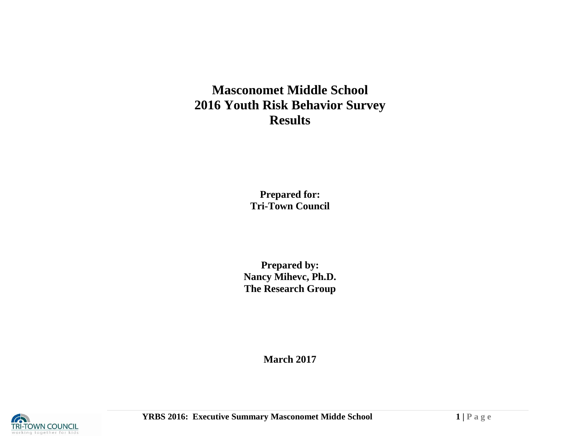# **Masconomet Middle School 2016 Youth Risk Behavior Survey Results**

**Prepared for: Tri-Town Council**

**Prepared by: Nancy Mihevc, Ph.D. The Research Group**

**March 2017**

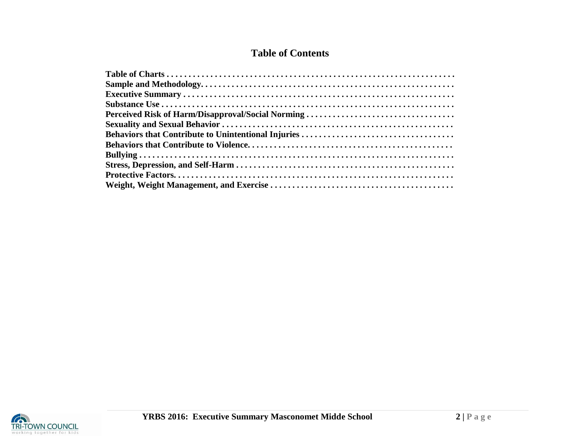# **Table of Contents**

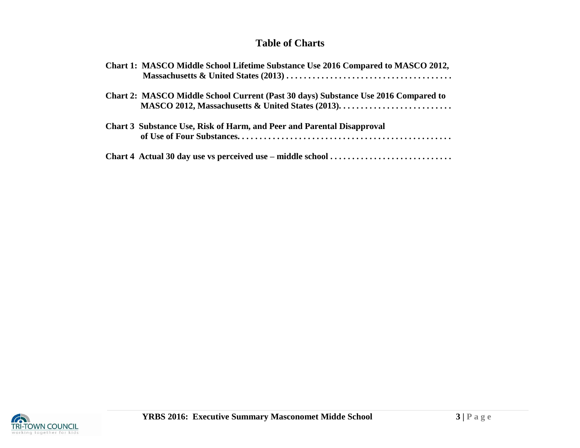# **Table of Charts**

| Chart 1: MASCO Middle School Lifetime Substance Use 2016 Compared to MASCO 2012,   |
|------------------------------------------------------------------------------------|
| Chart 2: MASCO Middle School Current (Past 30 days) Substance Use 2016 Compared to |
| Chart 3 Substance Use, Risk of Harm, and Peer and Parental Disapproval             |
|                                                                                    |

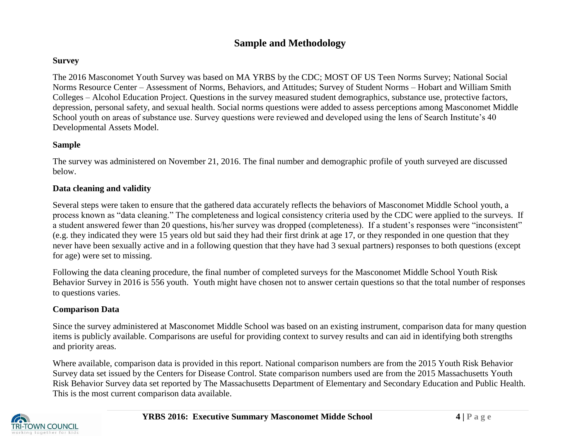# **Sample and Methodology**

#### **Survey**

The 2016 Masconomet Youth Survey was based on MA YRBS by the CDC; MOST OF US Teen Norms Survey; National Social Norms Resource Center – Assessment of Norms, Behaviors, and Attitudes; Survey of Student Norms – Hobart and William Smith Colleges – Alcohol Education Project. Questions in the survey measured student demographics, substance use, protective factors, depression, personal safety, and sexual health. Social norms questions were added to assess perceptions among Masconomet Middle School youth on areas of substance use. Survey questions were reviewed and developed using the lens of Search Institute's 40 Developmental Assets Model.

#### **Sample**

The survey was administered on November 21, 2016. The final number and demographic profile of youth surveyed are discussed below.

## **Data cleaning and validity**

Several steps were taken to ensure that the gathered data accurately reflects the behaviors of Masconomet Middle School youth, a process known as "data cleaning." The completeness and logical consistency criteria used by the CDC were applied to the surveys. If a student answered fewer than 20 questions, his/her survey was dropped (completeness). If a student's responses were "inconsistent" (e.g. they indicated they were 15 years old but said they had their first drink at age 17, or they responded in one question that they never have been sexually active and in a following question that they have had 3 sexual partners) responses to both questions (except for age) were set to missing.

Following the data cleaning procedure, the final number of completed surveys for the Masconomet Middle School Youth Risk Behavior Survey in 2016 is 556 youth. Youth might have chosen not to answer certain questions so that the total number of responses to questions varies.

## **Comparison Data**

Since the survey administered at Masconomet Middle School was based on an existing instrument, comparison data for many question items is publicly available. Comparisons are useful for providing context to survey results and can aid in identifying both strengths and priority areas.

Where available, comparison data is provided in this report. National comparison numbers are from the 2015 Youth Risk Behavior Survey data set issued by the Centers for Disease Control. State comparison numbers used are from the 2015 Massachusetts Youth Risk Behavior Survey data set reported by The Massachusetts Department of Elementary and Secondary Education and Public Health. This is the most current comparison data available.

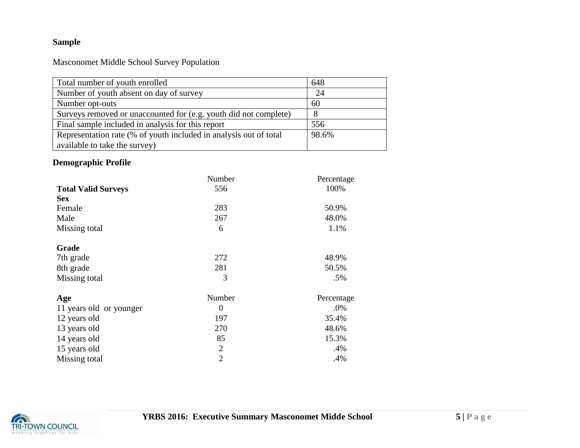# **Sample**

Masconomet Middle School Survey Population

| Total number of youth enrolled                                    | 648   |
|-------------------------------------------------------------------|-------|
| Number of youth absent on day of survey                           | 24    |
| Number opt-outs                                                   | 60    |
| Surveys removed or unaccounted for (e.g. youth did not complete)  | -8    |
| Final sample included in analysis for this report                 | 556   |
| Representation rate (% of youth included in analysis out of total | 98.6% |
| available to take the survey)                                     |       |

# **Demographic Profile**

|                            | Number           | Percentage |
|----------------------------|------------------|------------|
| <b>Total Valid Surveys</b> | 556              | 100%       |
| <b>Sex</b>                 |                  |            |
| Female                     | 283              | 50.9%      |
| Male                       | 267              | 48.0%      |
| Missing total              | 6                | 1.1%       |
| Grade                      |                  |            |
| 7th grade                  | 272              | 48.9%      |
| 8th grade                  | 281              | 50.5%      |
| Missing total              | 3                | .5%        |
| Age                        | Number           | Percentage |
| 11 years old or younger    | $\boldsymbol{0}$ | $.0\%$     |
| 12 years old               | 197              | 35.4%      |
| 13 years old               | 270              | 48.6%      |
| 14 years old               | 85               | 15.3%      |
| 15 years old               | $\overline{2}$   | .4%        |
| Missing total              | $\overline{2}$   | .4%        |

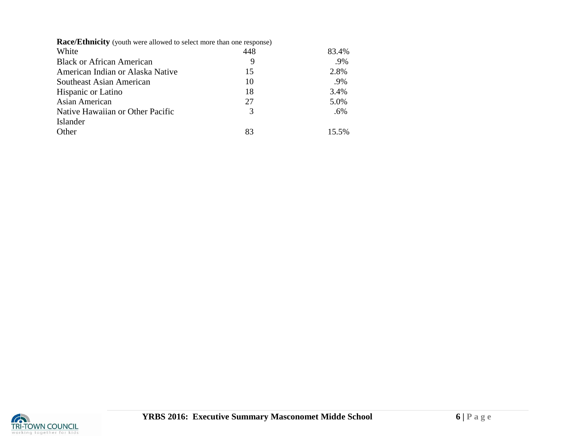|  | <b>Race/Ethnicity</b> (youth were allowed to select more than one response) |  |
|--|-----------------------------------------------------------------------------|--|
|--|-----------------------------------------------------------------------------|--|

| White                            | 448 | 83.4% |
|----------------------------------|-----|-------|
| <b>Black or African American</b> | 9   | .9%   |
| American Indian or Alaska Native | 15  | 2.8%  |
| Southeast Asian American         | 10  | .9%   |
| <b>Hispanic or Latino</b>        | 18  | 3.4%  |
| Asian American                   | 27  | 5.0%  |
| Native Hawaiian or Other Pacific | 3   | .6%   |
| Islander                         |     |       |
| Other                            | 83  | 15.5% |
|                                  |     |       |

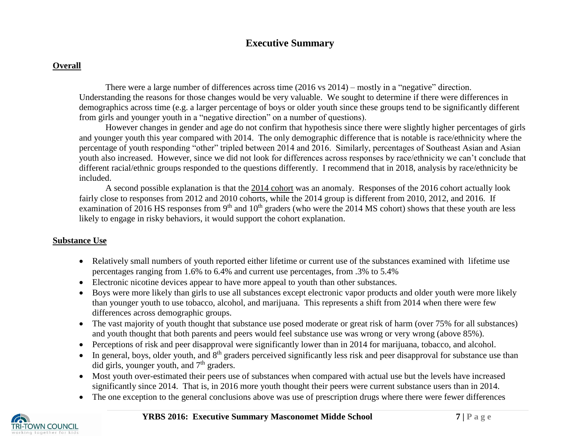# **Executive Summary**

# **Overall**

There were a large number of differences across time (2016 vs 2014) – mostly in a "negative" direction. Understanding the reasons for those changes would be very valuable. We sought to determine if there were differences in demographics across time (e.g. a larger percentage of boys or older youth since these groups tend to be significantly different from girls and younger youth in a "negative direction" on a number of questions).

However changes in gender and age do not confirm that hypothesis since there were slightly higher percentages of girls and younger youth this year compared with 2014. The only demographic difference that is notable is race/ethnicity where the percentage of youth responding "other" tripled between 2014 and 2016. Similarly, percentages of Southeast Asian and Asian youth also increased. However, since we did not look for differences across responses by race/ethnicity we can't conclude that different racial/ethnic groups responded to the questions differently. I recommend that in 2018, analysis by race/ethnicity be included.

A second possible explanation is that the 2014 cohort was an anomaly. Responses of the 2016 cohort actually look fairly close to responses from 2012 and 2010 cohorts, while the 2014 group is different from 2010, 2012, and 2016. If examination of 2016 HS responses from 9<sup>th</sup> and  $10<sup>th</sup>$  graders (who were the 2014 MS cohort) shows that these youth are less likely to engage in risky behaviors, it would support the cohort explanation.

## **Substance Use**

- Relatively small numbers of youth reported either lifetime or current use of the substances examined with lifetime use percentages ranging from 1.6% to 6.4% and current use percentages, from .3% to 5.4%
- Electronic nicotine devices appear to have more appeal to youth than other substances.
- Boys were more likely than girls to use all substances except electronic vapor products and older youth were more likely than younger youth to use tobacco, alcohol, and marijuana. This represents a shift from 2014 when there were few differences across demographic groups.
- The vast majority of youth thought that substance use posed moderate or great risk of harm (over 75% for all substances) and youth thought that both parents and peers would feel substance use was wrong or very wrong (above 85%).
- Perceptions of risk and peer disapproval were significantly lower than in 2014 for marijuana, tobacco, and alcohol.
- $\bullet$  In general, boys, older youth, and  $8<sup>th</sup>$  graders perceived significantly less risk and peer disapproval for substance use than did girls, younger youth, and  $7<sup>th</sup>$  graders.
- Most youth over-estimated their peers use of substances when compared with actual use but the levels have increased significantly since 2014. That is, in 2016 more youth thought their peers were current substance users than in 2014.
- The one exception to the general conclusions above was use of prescription drugs where there were fewer differences

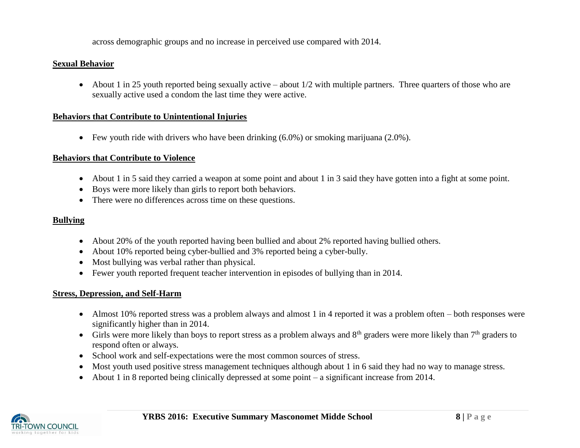across demographic groups and no increase in perceived use compared with 2014.

#### **Sexual Behavior**

• About 1 in 25 youth reported being sexually active – about  $1/2$  with multiple partners. Three quarters of those who are sexually active used a condom the last time they were active.

#### **Behaviors that Contribute to Unintentional Injuries**

Few youth ride with drivers who have been drinking (6.0%) or smoking marijuana (2.0%).

#### **Behaviors that Contribute to Violence**

- About 1 in 5 said they carried a weapon at some point and about 1 in 3 said they have gotten into a fight at some point.
- Boys were more likely than girls to report both behaviors.
- There were no differences across time on these questions.

# **Bullying**

- About 20% of the youth reported having been bullied and about 2% reported having bullied others.
- About 10% reported being cyber-bullied and 3% reported being a cyber-bully.
- Most bullying was verbal rather than physical.
- Fewer youth reported frequent teacher intervention in episodes of bullying than in 2014.

#### **Stress, Depression, and Self-Harm**

- Almost 10% reported stress was a problem always and almost 1 in 4 reported it was a problem often both responses were significantly higher than in 2014.
- Girls were more likely than boys to report stress as a problem always and  $8<sup>th</sup>$  graders were more likely than  $7<sup>th</sup>$  graders to respond often or always.
- School work and self-expectations were the most common sources of stress.
- Most youth used positive stress management techniques although about 1 in 6 said they had no way to manage stress.
- About 1 in 8 reported being clinically depressed at some point a significant increase from 2014.

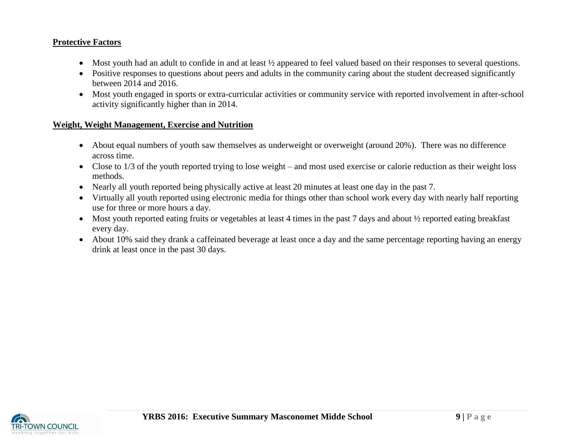#### **Protective Factors**

- Most youth had an adult to confide in and at least  $\frac{1}{2}$  appeared to feel valued based on their responses to several questions.
- Positive responses to questions about peers and adults in the community caring about the student decreased significantly between 2014 and 2016.
- Most youth engaged in sports or extra-curricular activities or community service with reported involvement in after-school activity significantly higher than in 2014.

#### **Weight, Weight Management, Exercise and Nutrition**

- About equal numbers of youth saw themselves as underweight or overweight (around 20%). There was no difference across time.
- Close to 1/3 of the youth reported trying to lose weight and most used exercise or calorie reduction as their weight loss methods.
- Nearly all youth reported being physically active at least 20 minutes at least one day in the past 7.
- Virtually all youth reported using electronic media for things other than school work every day with nearly half reporting use for three or more hours a day.
- Most youth reported eating fruits or vegetables at least 4 times in the past 7 days and about 1/2 reported eating breakfast every day.
- About 10% said they drank a caffeinated beverage at least once a day and the same percentage reporting having an energy drink at least once in the past 30 days.

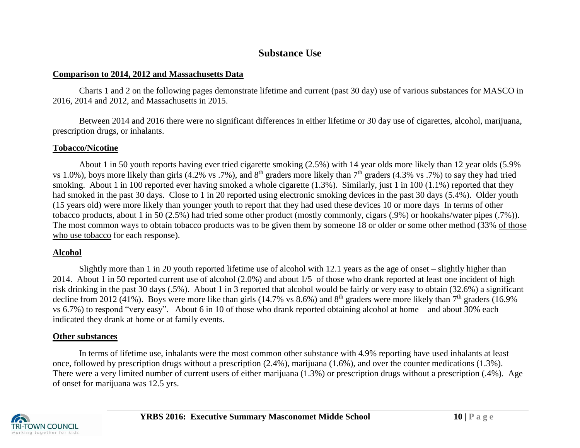# **Substance Use**

#### **Comparison to 2014, 2012 and Massachusetts Data**

Charts 1 and 2 on the following pages demonstrate lifetime and current (past 30 day) use of various substances for MASCO in 2016, 2014 and 2012, and Massachusetts in 2015.

Between 2014 and 2016 there were no significant differences in either lifetime or 30 day use of cigarettes, alcohol, marijuana, prescription drugs, or inhalants.

## **Tobacco/Nicotine**

About 1 in 50 youth reports having ever tried cigarette smoking (2.5%) with 14 year olds more likely than 12 year olds (5.9% vs 1.0%), boys more likely than girls (4.2% vs .7%), and  $8<sup>th</sup>$  graders more likely than  $7<sup>th</sup>$  graders (4.3% vs .7%) to say they had tried smoking. About 1 in 100 reported ever having smoked a whole cigarette (1.3%). Similarly, just 1 in 100 (1.1%) reported that they had smoked in the past 30 days. Close to 1 in 20 reported using electronic smoking devices in the past 30 days (5.4%). Older youth (15 years old) were more likely than younger youth to report that they had used these devices 10 or more days In terms of other tobacco products, about 1 in 50 (2.5%) had tried some other product (mostly commonly, cigars (.9%) or hookahs/water pipes (.7%)). The most common ways to obtain tobacco products was to be given them by someone 18 or older or some other method (33% of those who use tobacco for each response).

## **Alcohol**

Slightly more than 1 in 20 youth reported lifetime use of alcohol with 12.1 years as the age of onset – slightly higher than 2014. About 1 in 50 reported current use of alcohol (2.0%) and about 1/5 of those who drank reported at least one incident of high risk drinking in the past 30 days (.5%). About 1 in 3 reported that alcohol would be fairly or very easy to obtain (32.6%) a significant decline from 2012 (41%). Boys were more like than girls (14.7% vs 8.6%) and  $8<sup>th</sup>$  graders were more likely than  $7<sup>th</sup>$  graders (16.9%) vs 6.7%) to respond "very easy". About 6 in 10 of those who drank reported obtaining alcohol at home – and about 30% each indicated they drank at home or at family events.

#### **Other substances**

In terms of lifetime use, inhalants were the most common other substance with 4.9% reporting have used inhalants at least once, followed by prescription drugs without a prescription (2.4%), marijuana (1.6%), and over the counter medications (1.3%). There were a very limited number of current users of either marijuana (1.3%) or prescription drugs without a prescription (.4%). Age of onset for marijuana was 12.5 yrs.

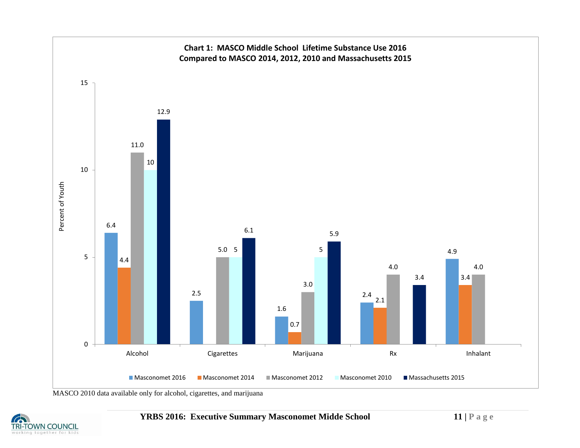

MASCO 2010 data available only for alcohol, cigarettes, and marijuana

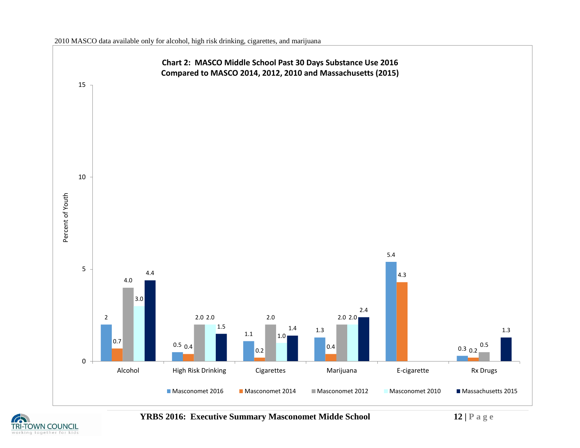

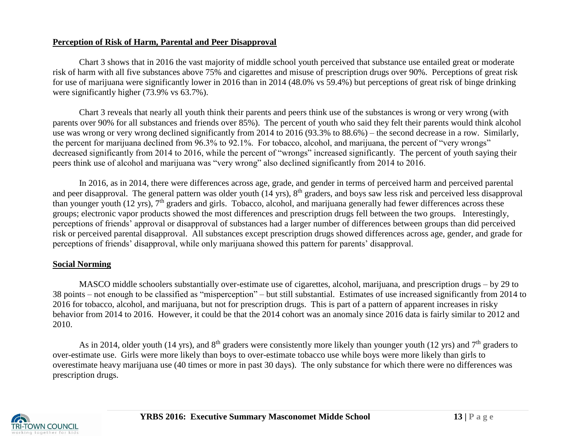#### **Perception of Risk of Harm, Parental and Peer Disapproval**

Chart 3 shows that in 2016 the vast majority of middle school youth perceived that substance use entailed great or moderate risk of harm with all five substances above 75% and cigarettes and misuse of prescription drugs over 90%. Perceptions of great risk for use of marijuana were significantly lower in 2016 than in 2014 (48.0% vs 59.4%) but perceptions of great risk of binge drinking were significantly higher (73.9% vs 63.7%).

Chart 3 reveals that nearly all youth think their parents and peers think use of the substances is wrong or very wrong (with parents over 90% for all substances and friends over 85%). The percent of youth who said they felt their parents would think alcohol use was wrong or very wrong declined significantly from 2014 to 2016 (93.3% to 88.6%) – the second decrease in a row. Similarly, the percent for marijuana declined from 96.3% to 92.1%. For tobacco, alcohol, and marijuana, the percent of "very wrongs" decreased significantly from 2014 to 2016, while the percent of "wrongs" increased significantly. The percent of youth saying their peers think use of alcohol and marijuana was "very wrong" also declined significantly from 2014 to 2016.

In 2016, as in 2014, there were differences across age, grade, and gender in terms of perceived harm and perceived parental and peer disapproval. The general pattern was older youth (14 yrs), 8<sup>th</sup> graders, and boys saw less risk and perceived less disapproval than younger youth (12 yrs),  $7<sup>th</sup>$  graders and girls. Tobacco, alcohol, and marijuana generally had fewer differences across these groups; electronic vapor products showed the most differences and prescription drugs fell between the two groups. Interestingly, perceptions of friends' approval or disapproval of substances had a larger number of differences between groups than did perceived risk or perceived parental disapproval. All substances except prescription drugs showed differences across age, gender, and grade for perceptions of friends' disapproval, while only marijuana showed this pattern for parents' disapproval.

#### **Social Norming**

MASCO middle schoolers substantially over-estimate use of cigarettes, alcohol, marijuana, and prescription drugs – by 29 to 38 points – not enough to be classified as "misperception" – but still substantial. Estimates of use increased significantly from 2014 to 2016 for tobacco, alcohol, and marijuana, but not for prescription drugs. This is part of a pattern of apparent increases in risky behavior from 2014 to 2016. However, it could be that the 2014 cohort was an anomaly since 2016 data is fairly similar to 2012 and 2010.

As in 2014, older youth (14 yrs), and  $8<sup>th</sup>$  graders were consistently more likely than younger youth (12 yrs) and  $7<sup>th</sup>$  graders to over-estimate use. Girls were more likely than boys to over-estimate tobacco use while boys were more likely than girls to overestimate heavy marijuana use (40 times or more in past 30 days). The only substance for which there were no differences was prescription drugs.

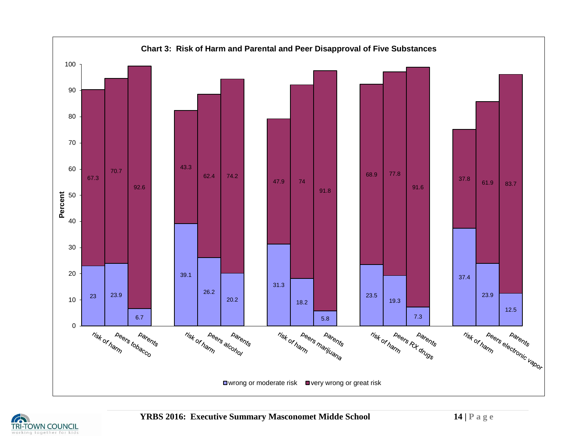

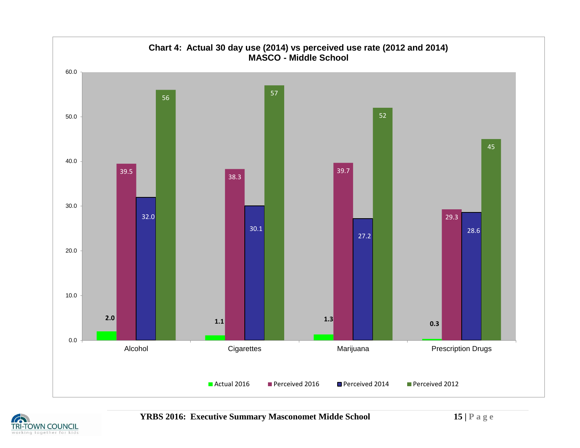

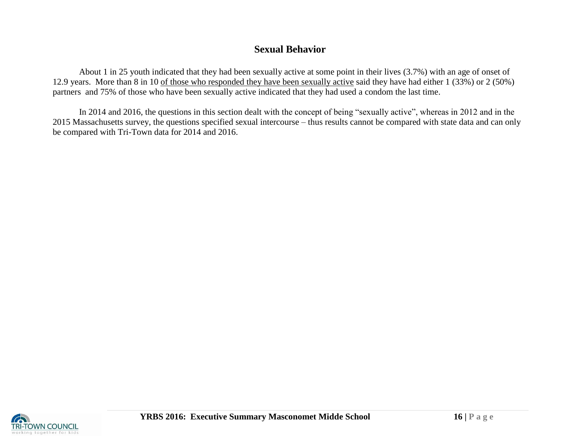# **Sexual Behavior**

About 1 in 25 youth indicated that they had been sexually active at some point in their lives (3.7%) with an age of onset of 12.9 years. More than 8 in 10 of those who responded they have been sexually active said they have had either 1 (33%) or 2 (50%) partners and 75% of those who have been sexually active indicated that they had used a condom the last time.

In 2014 and 2016, the questions in this section dealt with the concept of being "sexually active", whereas in 2012 and in the 2015 Massachusetts survey, the questions specified sexual intercourse – thus results cannot be compared with state data and can only be compared with Tri-Town data for 2014 and 2016.

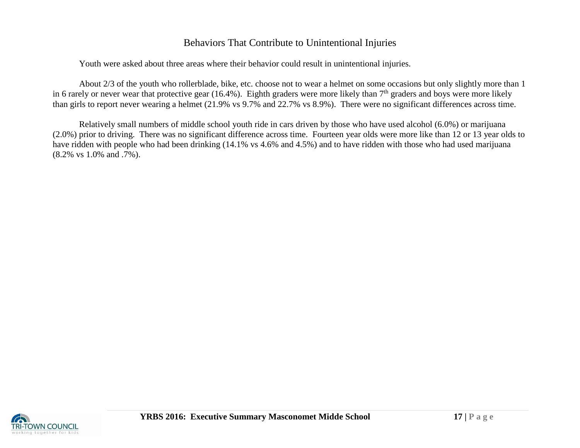# Behaviors That Contribute to Unintentional Injuries

Youth were asked about three areas where their behavior could result in unintentional injuries.

About 2/3 of the youth who rollerblade, bike, etc. choose not to wear a helmet on some occasions but only slightly more than 1 in 6 rarely or never wear that protective gear (16.4%). Eighth graders were more likely than  $7<sup>th</sup>$  graders and boys were more likely than girls to report never wearing a helmet (21.9% vs 9.7% and 22.7% vs 8.9%). There were no significant differences across time.

Relatively small numbers of middle school youth ride in cars driven by those who have used alcohol (6.0%) or marijuana (2.0%) prior to driving. There was no significant difference across time. Fourteen year olds were more like than 12 or 13 year olds to have ridden with people who had been drinking (14.1% vs 4.6% and 4.5%) and to have ridden with those who had used marijuana (8.2% vs 1.0% and .7%).

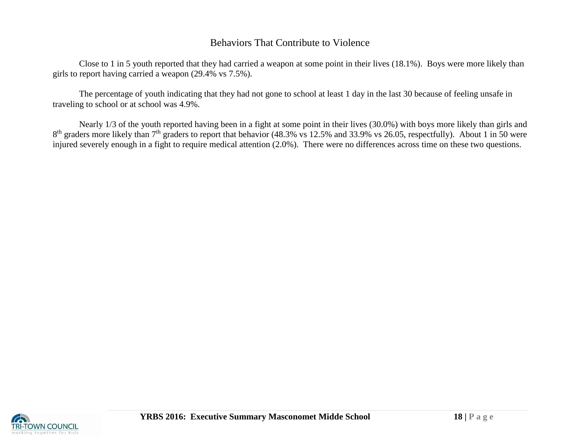# Behaviors That Contribute to Violence

Close to 1 in 5 youth reported that they had carried a weapon at some point in their lives (18.1%). Boys were more likely than girls to report having carried a weapon (29.4% vs 7.5%).

The percentage of youth indicating that they had not gone to school at least 1 day in the last 30 because of feeling unsafe in traveling to school or at school was 4.9%.

Nearly 1/3 of the youth reported having been in a fight at some point in their lives (30.0%) with boys more likely than girls and  $8<sup>th</sup>$  graders more likely than  $7<sup>th</sup>$  graders to report that behavior (48.3% vs 12.5% and 33.9% vs 26.05, respectfully). About 1 in 50 were injured severely enough in a fight to require medical attention (2.0%). There were no differences across time on these two questions.

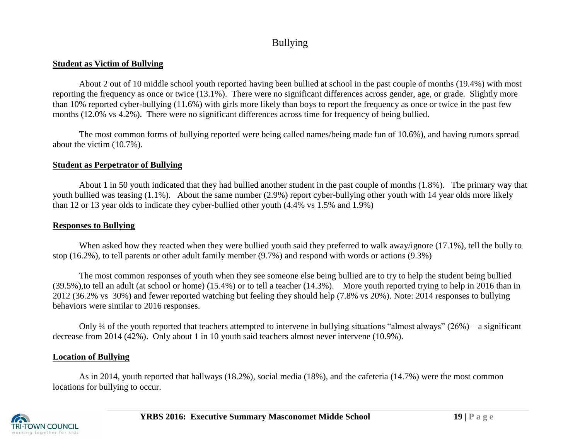# Bullying

#### **Student as Victim of Bullying**

About 2 out of 10 middle school youth reported having been bullied at school in the past couple of months (19.4%) with most reporting the frequency as once or twice (13.1%). There were no significant differences across gender, age, or grade. Slightly more than 10% reported cyber-bullying (11.6%) with girls more likely than boys to report the frequency as once or twice in the past few months (12.0% vs 4.2%). There were no significant differences across time for frequency of being bullied.

The most common forms of bullying reported were being called names/being made fun of 10.6%), and having rumors spread about the victim (10.7%).

## **Student as Perpetrator of Bullying**

About 1 in 50 youth indicated that they had bullied another student in the past couple of months (1.8%). The primary way that youth bullied was teasing (1.1%). About the same number (2.9%) report cyber-bullying other youth with 14 year olds more likely than 12 or 13 year olds to indicate they cyber-bullied other youth (4.4% vs 1.5% and 1.9%)

## **Responses to Bullying**

When asked how they reacted when they were bullied youth said they preferred to walk away/ignore (17.1%), tell the bully to stop (16.2%), to tell parents or other adult family member (9.7%) and respond with words or actions (9.3%)

The most common responses of youth when they see someone else being bullied are to try to help the student being bullied (39.5%),to tell an adult (at school or home) (15.4%) or to tell a teacher (14.3%). More youth reported trying to help in 2016 than in 2012 (36.2% vs 30%) and fewer reported watching but feeling they should help (7.8% vs 20%). Note: 2014 responses to bullying behaviors were similar to 2016 responses.

Only  $\frac{1}{4}$  of the youth reported that teachers attempted to intervene in bullying situations "almost always" (26%) – a significant decrease from 2014 (42%). Only about 1 in 10 youth said teachers almost never intervene (10.9%).

## **Location of Bullying**

As in 2014, youth reported that hallways (18.2%), social media (18%), and the cafeteria (14.7%) were the most common locations for bullying to occur.

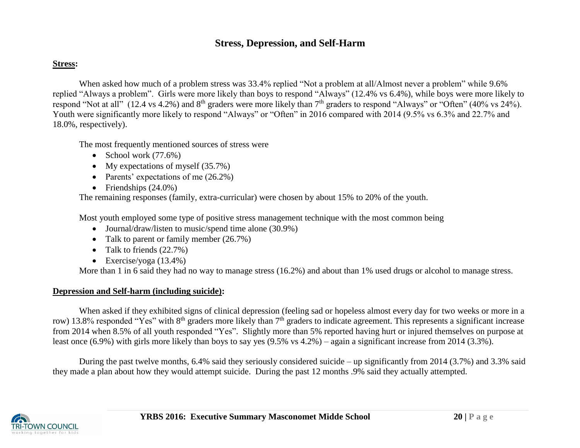# **Stress, Depression, and Self-Harm**

#### **Stress:**

When asked how much of a problem stress was 33.4% replied "Not a problem at all/Almost never a problem" while 9.6% replied "Always a problem". Girls were more likely than boys to respond "Always" (12.4% vs 6.4%), while boys were more likely to respond "Not at all" (12.4 vs 4.2%) and  $8<sup>th</sup>$  graders were more likely than  $7<sup>th</sup>$  graders to respond "Always" or "Often" (40% vs 24%). Youth were significantly more likely to respond "Always" or "Often" in 2016 compared with 2014 (9.5% vs 6.3% and 22.7% and 18.0%, respectively).

The most frequently mentioned sources of stress were

- School work  $(77.6%)$
- My expectations of myself  $(35.7%)$
- Parents' expectations of me  $(26.2\%)$
- Friendships  $(24.0\%)$

The remaining responses (family, extra-curricular) were chosen by about 15% to 20% of the youth.

Most youth employed some type of positive stress management technique with the most common being

- Journal/draw/listen to music/spend time alone (30.9%)
- Talk to parent or family member (26.7%)
- Talk to friends  $(22.7%)$
- Exercise/yoga  $(13.4\%)$

More than 1 in 6 said they had no way to manage stress (16.2%) and about than 1% used drugs or alcohol to manage stress.

## **Depression and Self-harm (including suicide):**

When asked if they exhibited signs of clinical depression (feeling sad or hopeless almost every day for two weeks or more in a row) 13.8% responded "Yes" with 8<sup>th</sup> graders more likely than 7<sup>th</sup> graders to indicate agreement. This represents a significant increase from 2014 when 8.5% of all youth responded "Yes". Slightly more than 5% reported having hurt or injured themselves on purpose at least once (6.9%) with girls more likely than boys to say yes (9.5% vs 4.2%) – again a significant increase from 2014 (3.3%).

During the past twelve months, 6.4% said they seriously considered suicide – up significantly from 2014 (3.7%) and 3.3% said they made a plan about how they would attempt suicide. During the past 12 months .9% said they actually attempted.

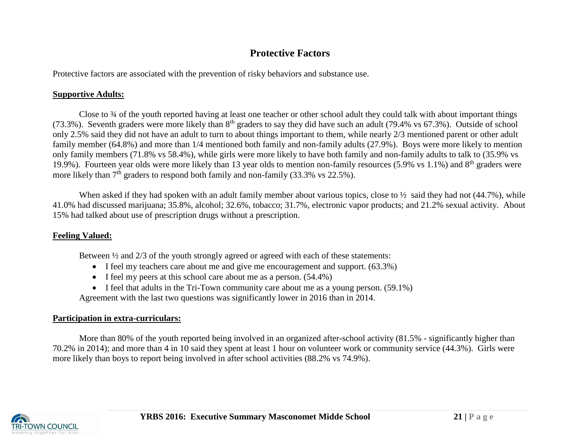# **Protective Factors**

Protective factors are associated with the prevention of risky behaviors and substance use.

# **Supportive Adults:**

Close to ¾ of the youth reported having at least one teacher or other school adult they could talk with about important things (73.3%). Seventh graders were more likely than  $8<sup>th</sup>$  graders to say they did have such an adult (79.4% vs 67.3%). Outside of school only 2.5% said they did not have an adult to turn to about things important to them, while nearly 2/3 mentioned parent or other adult family member (64.8%) and more than 1/4 mentioned both family and non-family adults (27.9%). Boys were more likely to mention only family members (71.8% vs 58.4%), while girls were more likely to have both family and non-family adults to talk to (35.9% vs 19.9%). Fourteen year olds were more likely than 13 year olds to mention non-family resources (5.9% vs 1.1%) and 8<sup>th</sup> graders were more likely than  $7<sup>th</sup>$  graders to respond both family and non-family (33.3% vs 22.5%).

When asked if they had spoken with an adult family member about various topics, close to  $\frac{1}{2}$  said they had not (44.7%), while 41.0% had discussed marijuana; 35.8%, alcohol; 32.6%, tobacco; 31.7%, electronic vapor products; and 21.2% sexual activity. About 15% had talked about use of prescription drugs without a prescription.

# **Feeling Valued:**

Between  $\frac{1}{2}$  and  $\frac{2}{3}$  of the youth strongly agreed or agreed with each of these statements:

- I feel my teachers care about me and give me encouragement and support. (63.3%)
- I feel my peers at this school care about me as a person.  $(54.4\%)$
- $\bullet$  I feel that adults in the Tri-Town community care about me as a young person. (59.1%)

Agreement with the last two questions was significantly lower in 2016 than in 2014.

# **Participation in extra-curriculars:**

More than 80% of the youth reported being involved in an organized after-school activity (81.5% - significantly higher than 70.2% in 2014); and more than 4 in 10 said they spent at least 1 hour on volunteer work or community service (44.3%). Girls were more likely than boys to report being involved in after school activities (88.2% vs 74.9%).

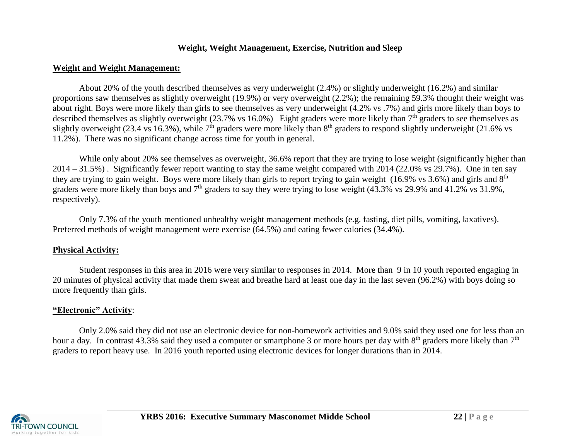#### **Weight, Weight Management, Exercise, Nutrition and Sleep**

#### **Weight and Weight Management:**

About 20% of the youth described themselves as very underweight (2.4%) or slightly underweight (16.2%) and similar proportions saw themselves as slightly overweight (19.9%) or very overweight (2.2%); the remaining 59.3% thought their weight was about right. Boys were more likely than girls to see themselves as very underweight (4.2% vs .7%) and girls more likely than boys to described themselves as slightly overweight (23.7% vs 16.0%) Eight graders were more likely than 7<sup>th</sup> graders to see themselves as slightly overweight (23.4 vs 16.3%), while  $7<sup>th</sup>$  graders were more likely than  $8<sup>th</sup>$  graders to respond slightly underweight (21.6% vs 11.2%). There was no significant change across time for youth in general.

While only about 20% see themselves as overweight, 36.6% report that they are trying to lose weight (significantly higher than 2014 – 31.5%) . Significantly fewer report wanting to stay the same weight compared with 2014 (22.0% vs 29.7%). One in ten say they are trying to gain weight. Boys were more likely than girls to report trying to gain weight (16.9% vs 3.6%) and girls and 8<sup>th</sup> graders were more likely than boys and  $7<sup>th</sup>$  graders to say they were trying to lose weight (43.3% vs 29.9% and 41.2% vs 31.9%, respectively).

Only 7.3% of the youth mentioned unhealthy weight management methods (e.g. fasting, diet pills, vomiting, laxatives). Preferred methods of weight management were exercise (64.5%) and eating fewer calories (34.4%).

## **Physical Activity:**

Student responses in this area in 2016 were very similar to responses in 2014. More than 9 in 10 youth reported engaging in 20 minutes of physical activity that made them sweat and breathe hard at least one day in the last seven (96.2%) with boys doing so more frequently than girls.

## **"Electronic" Activity**:

Only 2.0% said they did not use an electronic device for non-homework activities and 9.0% said they used one for less than an hour a day. In contrast 43.3% said they used a computer or smartphone 3 or more hours per day with  $8<sup>th</sup>$  graders more likely than  $7<sup>th</sup>$ graders to report heavy use. In 2016 youth reported using electronic devices for longer durations than in 2014.